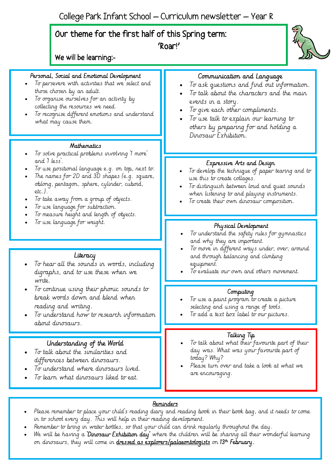## Our theme for the first half of this Spring term:

'Roar!'

We will be learning:-

## Personal, Social and Emotional Development

- To persevere with activities that we select and those chosen by an adult.
- To organise ourselves for an activity by collecting the resources we need.
- To recognise different emotions and understand what may cause them.

#### **Mathematics**

- To solve practical problems involving '1 more' and '1 less'.
- To use positional language e.g. on top, next to.
- The names for 2D and 3D shapes (e.g. square, oblong, pentagon, sphere, cylinder, cuboid, etc.).
- To take away from a group of objects.
- To use language for subtraction.
- To measure height and length of objects.
- To use language for weight.

#### **Literacy**

- To hear all the sounds in words, including digraphs, and to use these when we write.
- To continue using their phonic sounds to break words down and blend when reading and writing.
- To understand how to research information about dinosaurs.

## Understanding of the World

- To talk about the similarities and differences between dinosaurs.
- To understand where dinosaurs lived.
- To learn what dinosaurs liked to eat.

## Communication and Language

- To ask questions and find out information.
- To talk about the characters and the main events in a story.
- To give each other compliments.
- To use talk to explain our learning to others by preparing for and holding a Dinosaur Exhibition.

#### Expressive Arts and Design

- To develop the technique of paper tearing and to use this to create collages.
- To distinguish between loud and quiet sounds when listening to and playing instruments.
- To create their own dinosaur composition.

#### Physical Development

- To understand the safety rules for gymnastics and why they are important.
- To move in different ways under, over, around and through balancing and climbing equipment.
- To evaluate our own and others movement.

#### Computing

- To use a paint program to create a picture selecting and using a range of tools.
- To add a text box label to our pictures.

#### Talking Tip

- To talk about what their favourite part of their day was. What was your favourite part of today? Why?
- Please turn over and take a look at what we are encouraging.

#### Reminders

- Please remember to place your child's reading diary and reading book in their book bag, and it needs to come in to school every day. This will help in their reading development.
- Remember to bring in water bottles, so that your child can drink regularly throughout the day.
- We will be having a **Dinosaur Exhibition day** where the children will be sharing all their wonderful learning on dinosaurs, they will come in <mark>dressed as explorers/palaeontologists</mark> on 13<sup>th</sup> F**ebruary.**